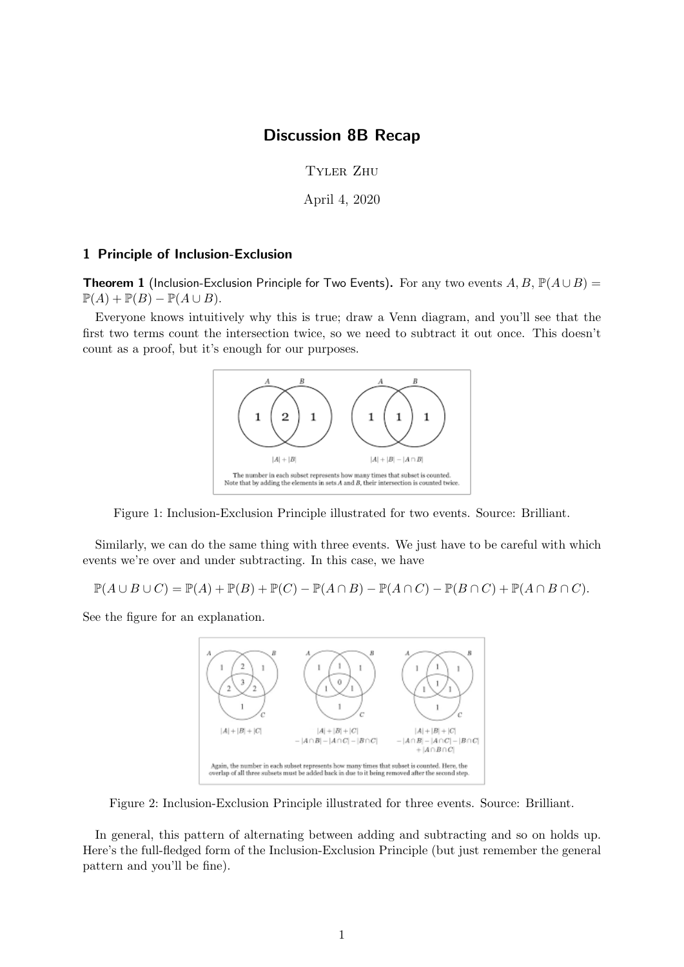## Discussion 8B Recap

Tyler Zhu

April 4, 2020

## 1 Principle of Inclusion-Exclusion

**Theorem 1** (Inclusion-Exclusion Principle for Two Events). For any two events A, B,  $\mathbb{P}(A \cup B)$  =  $\mathbb{P}(A) + \mathbb{P}(B) - \mathbb{P}(A \cup B).$ 

Everyone knows intuitively why this is true; draw a Venn diagram, and you'll see that the first two terms count the intersection twice, so we need to subtract it out once. This doesn't count as a proof, but it's enough for our purposes.



Figure 1: Inclusion-Exclusion Principle illustrated for two events. Source: Brilliant.

Similarly, we can do the same thing with three events. We just have to be careful with which events we're over and under subtracting. In this case, we have

$$
\mathbb{P}(A \cup B \cup C) = \mathbb{P}(A) + \mathbb{P}(B) + \mathbb{P}(C) - \mathbb{P}(A \cap B) - \mathbb{P}(A \cap C) - \mathbb{P}(B \cap C) + \mathbb{P}(A \cap B \cap C).
$$

See the figure for an explanation.



Figure 2: Inclusion-Exclusion Principle illustrated for three events. Source: Brilliant.

In general, this pattern of alternating between adding and subtracting and so on holds up. Here's the full-fledged form of the Inclusion-Exclusion Principle (but just remember the general pattern and you'll be fine).